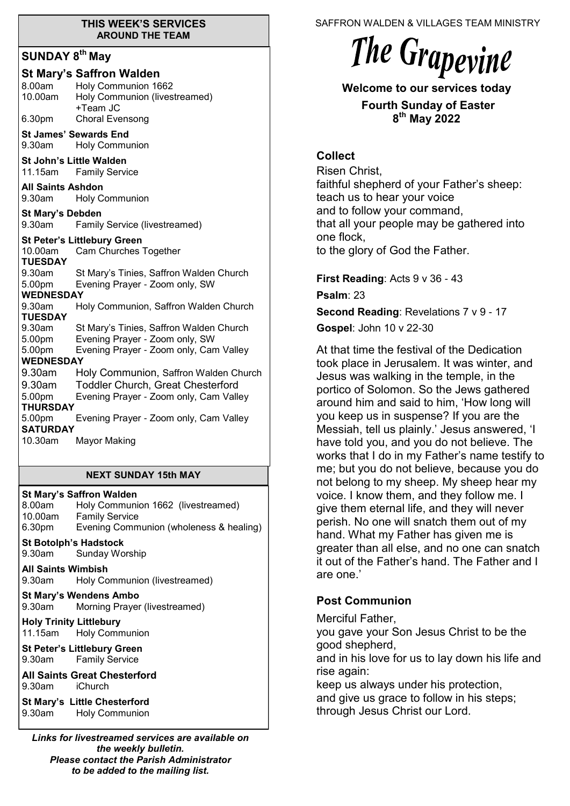#### **THIS WEEK'S SERVICES AROUND THE TEAM**

# **SUNDAY 8th May**

|                                |                          | <b>St Mary's Saffron Walden</b>           |
|--------------------------------|--------------------------|-------------------------------------------|
|                                | 8.00am                   | Holy Communion 1662                       |
|                                | 10.00am                  | Holy Communion (livestreamed)<br>+Team JC |
|                                | 6.30pm                   | <b>Choral Evensong</b>                    |
|                                |                          | <b>St James' Sewards End</b>              |
|                                | $9.30$ am                | <b>Holy Communion</b>                     |
| <b>St John's Little Walden</b> |                          |                                           |
|                                |                          | 11.15am Family Service                    |
|                                | <b>All Saints Ashdon</b> |                                           |
|                                | 9.30am                   | <b>Holy Communion</b>                     |
| <b>St Mary's Debden</b>        |                          |                                           |
|                                | 9.30am                   | <b>Family Service (livestreamed)</b>      |
|                                |                          | <b>St Peter's Littlebury Green</b>        |
|                                | 10.00am                  | Cam Churches Together                     |
|                                | <b>TUESDAY</b>           |                                           |
|                                | 9.30am                   | St Mary's Tinies, Saffron Walden Church   |
|                                | 5.00pm                   | Evening Prayer - Zoom only, SW            |
|                                | <b>WEDNESDAY</b>         |                                           |
|                                | 9.30am<br><b>TUESDAY</b> | Holy Communion, Saffron Walden Church     |
|                                | 9.30am                   | St Mary's Tinies, Saffron Walden Church   |
|                                | 5.00pm                   | Evening Prayer - Zoom only, SW            |
|                                | 5.00pm                   | Evening Prayer - Zoom only, Cam Valley    |
| <b>WEDNESDAY</b>               |                          |                                           |
|                                | 9.30am                   | Holy Communion, Saffron Walden Church     |
|                                | 9.30am                   | <b>Toddler Church, Great Chesterford</b>  |
|                                | 5.00pm                   | Evening Prayer - Zoom only, Cam Valley    |
|                                | <b>THURSDAY</b>          |                                           |
|                                | 5.00pm                   | Evening Prayer - Zoom only, Cam Valley    |
|                                | <b>SATURDAY</b>          |                                           |
|                                | 10.30am                  | <b>Mayor Making</b>                       |
|                                |                          |                                           |

#### **NEXT SUNDAY 15th MAY**

**St Mary's Saffron Walden**  8.00am Holy Communion 1662 (livestreamed) 10.00am Family Service 6.30pm Evening Communion (wholeness & healing) **St Botolph's Hadstock**  9.30am Sunday Worship **All Saints Wimbish** 9.30am Holy Communion (livestreamed) **St Mary's Wendens Ambo** 9.30am Morning Prayer (livestreamed) **Holy Trinity Littlebury** 11.15am Holy Communion **St Peter's Littlebury Green** 9.30am Family Service **All Saints Great Chesterford** 9.30am iChurch **St Mary's Little Chesterford** 9.30am Holy Communion

*Links for livestreamed services are available on the weekly bulletin. Please contact the Parish Administrator to be added to the mailing list.*

SAFFRON WALDEN & VILLAGES TEAM MINISTRY



**Welcome to our services today** 

**Fourth Sunday of Easter 8 th May 2022**

## **Collect**

Risen Christ, faithful shepherd of your Father's sheep: teach us to hear your voice and to follow your command, that all your people may be gathered into one flock, to the glory of God the Father.

**First Reading: Acts 9 v 36 - 43** 

**Psalm**: 23

**Second Reading**: Revelations 7 v 9 - 17

**Gospel**: John 10 v 22-30

At that time the festival of the Dedication took place in Jerusalem. It was winter, and Jesus was walking in the temple, in the portico of Solomon. So the Jews gathered around him and said to him, 'How long will you keep us in suspense? If you are the Messiah, tell us plainly.' Jesus answered, 'I have told you, and you do not believe. The works that I do in my Father's name testify to me; but you do not believe, because you do not belong to my sheep. My sheep hear my voice. I know them, and they follow me. I give them eternal life, and they will never perish. No one will snatch them out of my hand. What my Father has given me is greater than all else, and no one can snatch it out of the Father's hand. The Father and I are one.'

## **Post Communion**

Merciful Father,

you gave your Son Jesus Christ to be the good shepherd,

and in his love for us to lay down his life and rise again:

keep us always under his protection, and give us grace to follow in his steps; through Jesus Christ our Lord.